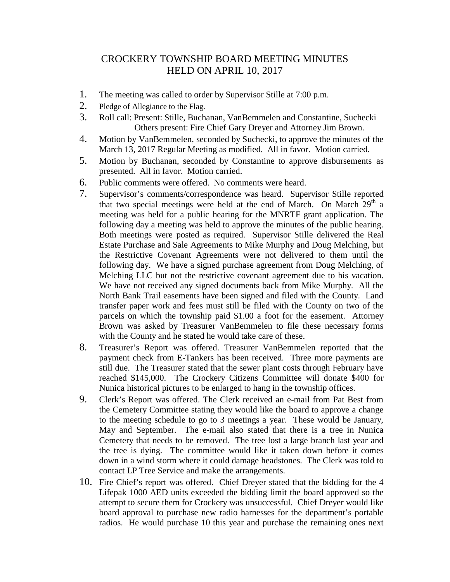## CROCKERY TOWNSHIP BOARD MEETING MINUTES HELD ON APRIL 10, 2017

- 1. The meeting was called to order by Supervisor Stille at 7:00 p.m.
- 2. Pledge of Allegiance to the Flag.
- 3. Roll call: Present: Stille, Buchanan, VanBemmelen and Constantine, Suchecki Others present: Fire Chief Gary Dreyer and Attorney Jim Brown.
- 4. Motion by VanBemmelen, seconded by Suchecki, to approve the minutes of the March 13, 2017 Regular Meeting as modified. All in favor. Motion carried.
- 5. Motion by Buchanan, seconded by Constantine to approve disbursements as presented. All in favor. Motion carried.
- 6. Public comments were offered. No comments were heard.
- 7. Supervisor's comments/correspondence was heard. Supervisor Stille reported that two special meetings were held at the end of March. On March 29<sup>th</sup> a meeting was held for a public hearing for the MNRTF grant application. The following day a meeting was held to approve the minutes of the public hearing. Both meetings were posted as required. Supervisor Stille delivered the Real Estate Purchase and Sale Agreements to Mike Murphy and Doug Melching, but the Restrictive Covenant Agreements were not delivered to them until the following day. We have a signed purchase agreement from Doug Melching, of Melching LLC but not the restrictive covenant agreement due to his vacation. We have not received any signed documents back from Mike Murphy. All the North Bank Trail easements have been signed and filed with the County. Land transfer paper work and fees must still be filed with the County on two of the parcels on which the township paid \$1.00 a foot for the easement. Attorney Brown was asked by Treasurer VanBemmelen to file these necessary forms with the County and he stated he would take care of these.
- 8. Treasurer's Report was offered. Treasurer VanBemmelen reported that the payment check from E-Tankers has been received. Three more payments are still due. The Treasurer stated that the sewer plant costs through February have reached \$145,000. The Crockery Citizens Committee will donate \$400 for Nunica historical pictures to be enlarged to hang in the township offices.
- 9. Clerk's Report was offered. The Clerk received an e-mail from Pat Best from the Cemetery Committee stating they would like the board to approve a change to the meeting schedule to go to 3 meetings a year. These would be January, May and September. The e-mail also stated that there is a tree in Nunica Cemetery that needs to be removed. The tree lost a large branch last year and the tree is dying. The committee would like it taken down before it comes down in a wind storm where it could damage headstones. The Clerk was told to contact LP Tree Service and make the arrangements.
- 10. Fire Chief's report was offered. Chief Dreyer stated that the bidding for the 4 Lifepak 1000 AED units exceeded the bidding limit the board approved so the attempt to secure them for Crockery was unsuccessful. Chief Dreyer would like board approval to purchase new radio harnesses for the department's portable radios. He would purchase 10 this year and purchase the remaining ones next